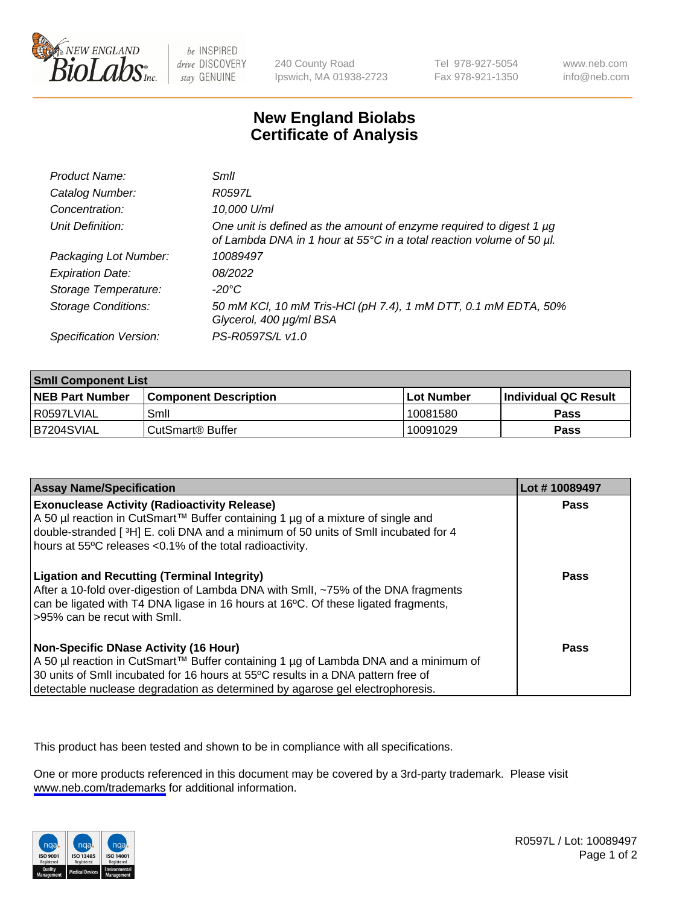

be INSPIRED drive DISCOVERY stay GENUINE

240 County Road Ipswich, MA 01938-2723 Tel 978-927-5054 Fax 978-921-1350

www.neb.com info@neb.com

## **New England Biolabs Certificate of Analysis**

| Product Name:              | Smll                                                                                                                                        |
|----------------------------|---------------------------------------------------------------------------------------------------------------------------------------------|
| Catalog Number:            | R0597L                                                                                                                                      |
| Concentration:             | 10,000 U/ml                                                                                                                                 |
| Unit Definition:           | One unit is defined as the amount of enzyme required to digest 1 µg<br>of Lambda DNA in 1 hour at 55°C in a total reaction volume of 50 µl. |
| Packaging Lot Number:      | 10089497                                                                                                                                    |
| <b>Expiration Date:</b>    | 08/2022                                                                                                                                     |
| Storage Temperature:       | -20°C                                                                                                                                       |
| <b>Storage Conditions:</b> | 50 mM KCl, 10 mM Tris-HCl (pH 7.4), 1 mM DTT, 0.1 mM EDTA, 50%<br>Glycerol, 400 µg/ml BSA                                                   |
| Specification Version:     | PS-R0597S/L v1.0                                                                                                                            |

| <b>Smil Component List</b> |                              |              |                             |  |
|----------------------------|------------------------------|--------------|-----------------------------|--|
| <b>NEB Part Number</b>     | <b>Component Description</b> | l Lot Number | <b>Individual QC Result</b> |  |
| l R0597LVIAL               | Smil                         | 10081580     | Pass                        |  |
| B7204SVIAL                 | CutSmart <sup>®</sup> Buffer | 10091029     | Pass                        |  |

| <b>Assay Name/Specification</b>                                                                                                                                                                                                                                                                          | Lot #10089497 |
|----------------------------------------------------------------------------------------------------------------------------------------------------------------------------------------------------------------------------------------------------------------------------------------------------------|---------------|
| <b>Exonuclease Activity (Radioactivity Release)</b><br>A 50 µl reaction in CutSmart™ Buffer containing 1 µg of a mixture of single and<br>double-stranded [3H] E. coli DNA and a minimum of 50 units of SmII incubated for 4<br>hours at 55°C releases <0.1% of the total radioactivity.                 | Pass          |
| <b>Ligation and Recutting (Terminal Integrity)</b><br>After a 10-fold over-digestion of Lambda DNA with Smll, ~75% of the DNA fragments<br>can be ligated with T4 DNA ligase in 16 hours at 16°C. Of these ligated fragments,<br>>95% can be recut with Smll.                                            | Pass          |
| <b>Non-Specific DNase Activity (16 Hour)</b><br>A 50 µl reaction in CutSmart™ Buffer containing 1 µg of Lambda DNA and a minimum of<br>30 units of Smll incubated for 16 hours at 55°C results in a DNA pattern free of<br>detectable nuclease degradation as determined by agarose gel electrophoresis. | <b>Pass</b>   |

This product has been tested and shown to be in compliance with all specifications.

One or more products referenced in this document may be covered by a 3rd-party trademark. Please visit <www.neb.com/trademarks>for additional information.